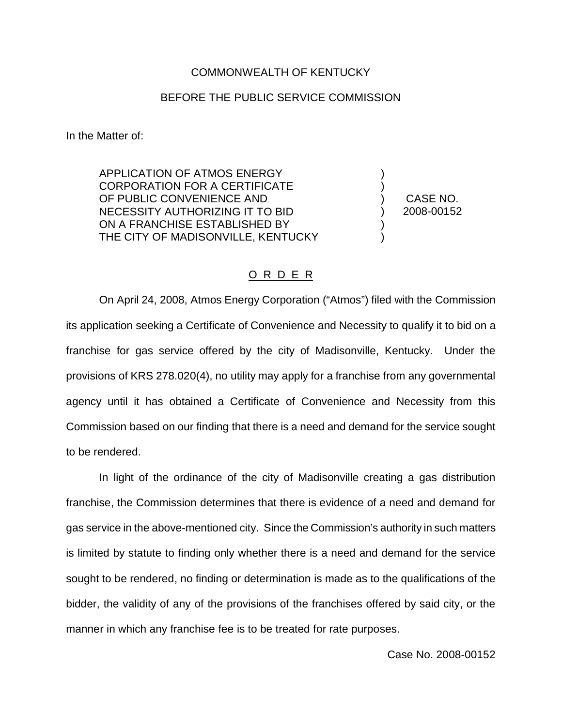## COMMONWEALTH OF KENTUCKY

## BEFORE THE PUBLIC SERVICE COMMISSION

In the Matter of:

APPLICATION OF ATMOS ENERGY CORPORATION FOR A CERTIFICATE OF PUBLIC CONVENIENCE AND NECESSITY AUTHORIZING IT TO BID ON A FRANCHISE ESTABLISHED BY THE CITY OF MADISONVILLE, KENTUCKY

) CASE NO. ) 2008-00152

) )

) )

## O R D E R

On April 24, 2008, Atmos Energy Corporation ("Atmos") filed with the Commission its application seeking a Certificate of Convenience and Necessity to qualify it to bid on a franchise for gas service offered by the city of Madisonville, Kentucky. Under the provisions of KRS 278.020(4), no utility may apply for a franchise from any governmental agency until it has obtained a Certificate of Convenience and Necessity from this Commission based on our finding that there is a need and demand for the service sought to be rendered.

In light of the ordinance of the city of Madisonville creating a gas distribution franchise, the Commission determines that there is evidence of a need and demand for gas service in the above-mentioned city. Since the Commission's authority in such matters is limited by statute to finding only whether there is a need and demand for the service sought to be rendered, no finding or determination is made as to the qualifications of the bidder, the validity of any of the provisions of the franchises offered by said city, or the manner in which any franchise fee is to be treated for rate purposes.

Case No. 2008-00152